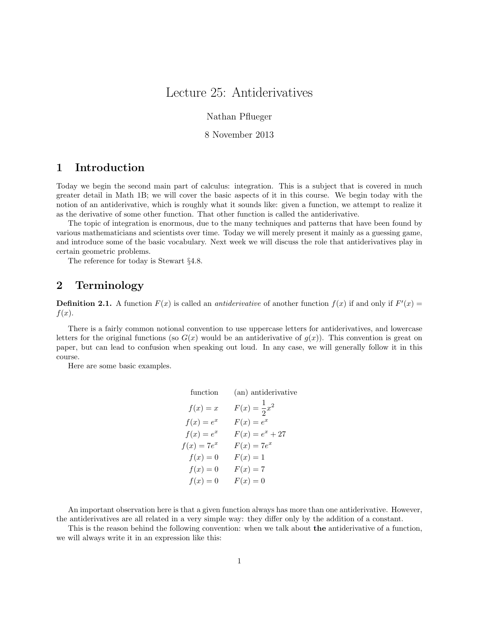# Lecture 25: Antiderivatives

Nathan Pflueger

#### 8 November 2013

# 1 Introduction

Today we begin the second main part of calculus: integration. This is a subject that is covered in much greater detail in Math 1B; we will cover the basic aspects of it in this course. We begin today with the notion of an antiderivative, which is roughly what it sounds like: given a function, we attempt to realize it as the derivative of some other function. That other function is called the antiderivative.

The topic of integration is enormous, due to the many techniques and patterns that have been found by various mathematicians and scientists over time. Today we will merely present it mainly as a guessing game, and introduce some of the basic vocabulary. Next week we will discuss the role that antiderivatives play in certain geometric problems.

The reference for today is Stewart §4.8.

## 2 Terminology

**Definition 2.1.** A function  $F(x)$  is called an *antiderivative* of another function  $f(x)$  if and only if  $F'(x) =$  $f(x)$ .

There is a fairly common notional convention to use uppercase letters for antiderivatives, and lowercase letters for the original functions (so  $G(x)$  would be an antiderivative of  $g(x)$ ). This convention is great on paper, but can lead to confusion when speaking out loud. In any case, we will generally follow it in this course.

Here are some basic examples.

| function      | (an) antiderivative     |
|---------------|-------------------------|
| $f(x) = x$    | $F(x) = \frac{1}{2}x^2$ |
| $f(x) = e^x$  | $F(x) = e^x$            |
| $f(x) = e^x$  | $F(x) = e^x + 27$       |
| $f(x) = 7e^x$ | $F(x) = 7e^x$           |
| $f(x)=0$      | $F(x)=1$                |
| $f(x)=0$      | $F(x)=7$                |
| $f(x) = 0$    | $F(x)=0$                |

An important observation here is that a given function always has more than one antiderivative. However, the antiderivatives are all related in a very simple way: they differ only by the addition of a constant.

This is the reason behind the following convention: when we talk about the antiderivative of a function, we will always write it in an expression like this: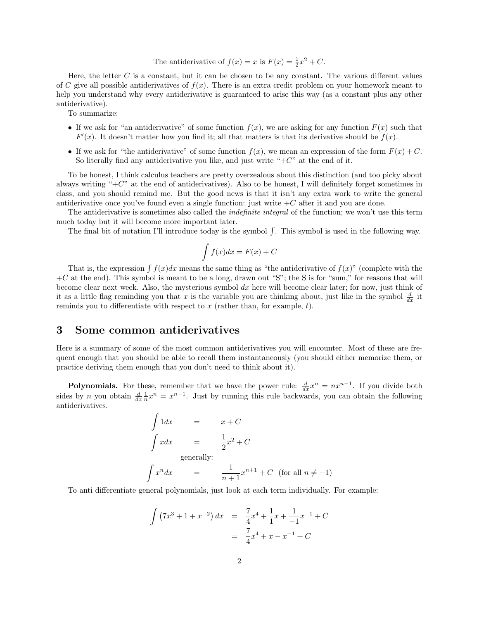The antiderivative of 
$$
f(x) = x
$$
 is  $F(x) = \frac{1}{2}x^2 + C$ .

Here, the letter  $C$  is a constant, but it can be chosen to be any constant. The various different values of C give all possible antiderivatives of  $f(x)$ . There is an extra credit problem on your homework meant to help you understand why every antiderivative is guaranteed to arise this way (as a constant plus any other antiderivative).

To summarize:

- If we ask for "an antiderivative" of some function  $f(x)$ , we are asking for any function  $F(x)$  such that  $F'(x)$ . It doesn't matter how you find it; all that matters is that its derivative should be  $f(x)$ .
- If we ask for "the antiderivative" of some function  $f(x)$ , we mean an expression of the form  $F(x) + C$ . So literally find any antiderivative you like, and just write " $+C$ " at the end of it.

To be honest, I think calculus teachers are pretty overzealous about this distinction (and too picky about always writing "+C" at the end of antiderivatives). Also to be honest, I will definitely forget sometimes in class, and you should remind me. But the good news is that it isn't any extra work to write the general antiderivative once you've found even a single function: just write  $+C$  after it and you are done.

The antiderivative is sometimes also called the *indefinite integral* of the function; we won't use this term much today but it will become more important later.

The final bit of notation I'll introduce today is the symbol  $\int$ . This symbol is used in the following way.

$$
\int f(x)dx = F(x) + C
$$

That is, the expression  $\int f(x)dx$  means the same thing as "the antiderivative of  $f(x)$ " (complete with the  $+C$  at the end). This symbol is meant to be a long, drawn out "S"; the S is for "sum," for reasons that will become clear next week. Also, the mysterious symbol  $dx$  here will become clear later; for now, just think of it as a little flag reminding you that x is the variable you are thinking about, just like in the symbol  $\frac{d}{dx}$  it reminds you to differentiate with respect to  $x$  (rather than, for example,  $t$ ).

#### 3 Some common antiderivatives

Here is a summary of some of the most common antiderivatives you will encounter. Most of these are frequent enough that you should be able to recall them instantaneously (you should either memorize them, or practice deriving them enough that you don't need to think about it).

**Polynomials.** For these, remember that we have the power rule:  $\frac{d}{dx}x^n = nx^{n-1}$ . If you divide both sides by *n* you obtain  $\frac{d}{dx} \frac{1}{n} x^n = x^{n-1}$ . Just by running this rule backwards, you can obtain the following antiderivatives.

$$
\int 1 dx = x + C
$$
  
\n
$$
\int x dx = \frac{1}{2}x^2 + C
$$
  
\ngenerally:  
\n
$$
\int x^n dx = \frac{1}{n+1}x^{n+1} + C \text{ (for all } n \neq -1)
$$

To anti differentiate general polynomials, just look at each term individually. For example:

$$
\int (7x^3 + 1 + x^{-2}) dx = \frac{7}{4}x^4 + \frac{1}{1}x + \frac{1}{-1}x^{-1} + C
$$

$$
= \frac{7}{4}x^4 + x - x^{-1} + C
$$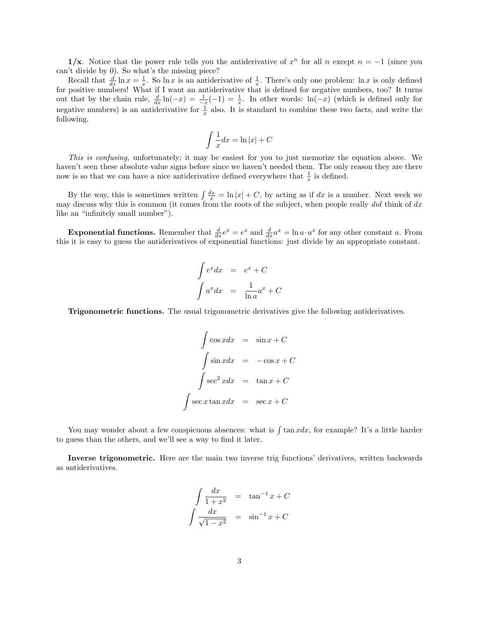1/x. Notice that the power rule tells you the antiderivative of  $x^n$  for all n except  $n = -1$  (since you can't divide by 0). So what's the missing piece?

Recall that  $\frac{d}{dx} \ln x = \frac{1}{x}$ . So  $\ln x$  is an antiderivative of  $\frac{1}{x}$ . There's only one problem:  $\ln x$  is only defined for positive numbers! What if I want an antiderivative that is defined for negative numbers, too? It turns out that by the chain rule,  $\frac{d}{dx}\ln(-x) = \frac{1}{-x}(-1) = \frac{1}{x}$ . In other words:  $\ln(-x)$  (which is defined only for negative numbers) is an antiderivative for  $\frac{1}{x}$  also. It is standard to combine these two facts, and write the following.

$$
\int \frac{1}{x} dx = \ln|x| + C
$$

This is confusing, unfortunately; it may be easiest for you to just memorize the equation above. We haven't seen these absolute value signs before since we haven't needed them. The only reason they are there now is so that we can have a nice antiderivative defined everywhere that  $\frac{1}{x}$  is defined.

By the way, this is sometimes written  $\int \frac{dx}{x} = \ln |x| + C$ , by acting as if dx is a number. Next week we may discuss why this is common (it comes from the roots of the subject, when people really did think of  $dx$ like an "infinitely small number").

**Exponential functions.** Remember that  $\frac{d}{dx}e^x = e^x$  and  $\frac{d}{dx}a^x = \ln a \cdot a^x$  for any other constant a. From this it is easy to guess the antiderivatives of exponential functions: just divide by an appropriate constant.

$$
\int e^x dx = e^x + C
$$

$$
\int a^x dx = \frac{1}{\ln a}a^x + C
$$

Trigonometric functions. The usual trigonometric derivatives give the following antiderivatives.

$$
\int \cos x dx = \sin x + C
$$

$$
\int \sin x dx = -\cos x + C
$$

$$
\int \sec^2 x dx = \tan x + C
$$

$$
\int \sec x \tan x dx = \sec x + C
$$

You may wonder about a few conspicuous absences: what is  $\int \tan x dx$ , for example? It's a little harder to guess than the others, and we'll see a way to find it later.

Inverse trigonometric. Here are the main two inverse trig functions' derivatives, written backwards as antiderivatives.

$$
\int \frac{dx}{1+x^2} = \tan^{-1} x + C
$$

$$
\int \frac{dx}{\sqrt{1-x^2}} = \sin^{-1} x + C
$$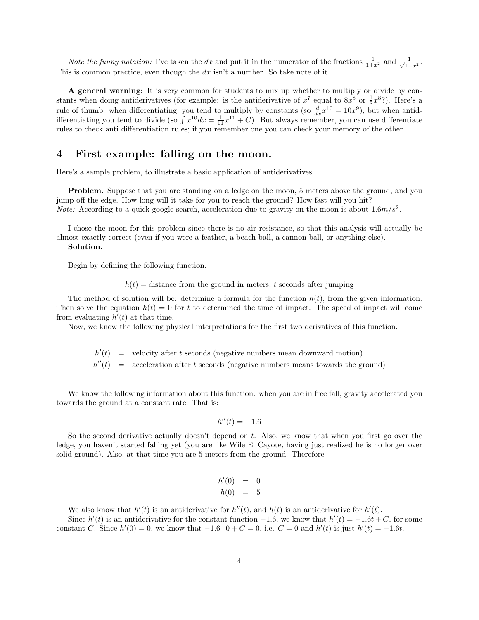*Note the funny notation:* I've taken the dx and put it in the numerator of the fractions  $\frac{1}{1+x^2}$  and  $\frac{1}{\sqrt{1-x^2}}$ . This is common practice, even though the  $dx$  isn't a number. So take note of it.

A general warning: It is very common for students to mix up whether to multiply or divide by constants when doing antiderivatives (for example: is the antiderivative of  $x^7$  equal to  $8x^8$  or  $\frac{1}{8}x^8$ ?). Here's a rule of thumb: when differentiating, you tend to multiply by constants (so  $\frac{d}{dx}x^{10} = 10x^9$ ), but when antidifferentiating you tend to divide (so  $\int x^{10} dx = \frac{1}{11}x^{11} + C$ ). But always remember, you can use differentiate rules to check anti differentiation rules; if you remember one you can check your memory of the other.

### 4 First example: falling on the moon.

Here's a sample problem, to illustrate a basic application of antiderivatives.

Problem. Suppose that you are standing on a ledge on the moon, 5 meters above the ground, and you jump off the edge. How long will it take for you to reach the ground? How fast will you hit? *Note:* According to a quick google search, acceleration due to gravity on the moon is about  $1.6m/s^2$ .

I chose the moon for this problem since there is no air resistance, so that this analysis will actually be almost exactly correct (even if you were a feather, a beach ball, a cannon ball, or anything else). Solution.

Begin by defining the following function.

 $h(t) =$  distance from the ground in meters, t seconds after jumping

The method of solution will be: determine a formula for the function  $h(t)$ , from the given information. Then solve the equation  $h(t) = 0$  for t to determined the time of impact. The speed of impact will come from evaluating  $h'(t)$  at that time.

Now, we know the following physical interpretations for the first two derivatives of this function.

 $h'(t)$  = velocity after t seconds (negative numbers mean downward motion)

 $h''(t) =$ acceleration after  $t$  seconds (negative numbers means towards the ground)

We know the following information about this function: when you are in free fall, gravity accelerated you towards the ground at a constant rate. That is:

$$
h''(t) = -1.6
$$

So the second derivative actually doesn't depend on t. Also, we know that when you first go over the ledge, you haven't started falling yet (you are like Wile E. Cayote, having just realized he is no longer over solid ground). Also, at that time you are 5 meters from the ground. Therefore

$$
h'(0) = 0
$$
  

$$
h(0) = 5
$$

We also know that  $h'(t)$  is an antiderivative for  $h''(t)$ , and  $h(t)$  is an antiderivative for  $h'(t)$ .

Since  $h'(t)$  is an antiderivative for the constant function  $-1.6$ , we know that  $h'(t) = -1.6t + C$ , for some constant C. Since  $h'(0) = 0$ , we know that  $-1.6 \cdot 0 + C = 0$ , i.e.  $C = 0$  and  $h'(t)$  is just  $h'(t) = -1.6t$ .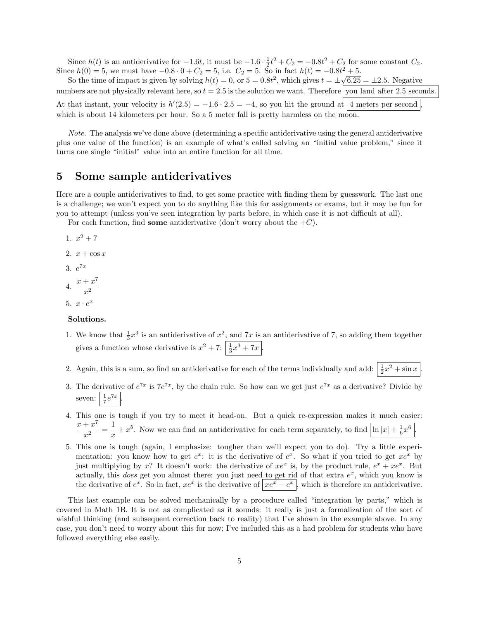Since  $h(t)$  is an antiderivative for  $-1.6t$ , it must be  $-1.6 \cdot \frac{1}{2}t^2 + C_2 = -0.8t^2 + C_2$  for some constant  $C_2$ . Since  $h(0) = 5$ , we must have  $-0.8 \cdot 0 + C_2 = 5$ , i.e.  $C_2 = 5$ . So in fact  $h(t) = -0.8t^2 + 5$ .

So the time of impact is given by solving  $h(t) = 0$ , or  $5 = 0.8t^2$ , which gives  $t = \pm \sqrt{6.25} = \pm 2.5$ . Negative numbers are not physically relevant here, so  $t = 2.5$  is the solution we want. Therefore you land after 2.5 seconds. At that instant, your velocity is  $h'(2.5) = -1.6 \cdot 2.5 = -4$ , so you hit the ground at 4 meters per second, which is about 14 kilometers per hour. So a 5 meter fall is pretty harmless on the moon.

Note. The analysis we've done above (determining a specific antiderivative using the general antiderivative plus one value of the function) is an example of what's called solving an "initial value problem," since it turns one single "initial" value into an entire function for all time.

### 5 Some sample antiderivatives

Here are a couple antiderivatives to find, to get some practice with finding them by guesswork. The last one is a challenge; we won't expect you to do anything like this for assignments or exams, but it may be fun for you to attempt (unless you've seen integration by parts before, in which case it is not difficult at all).

For each function, find some antiderivative (don't worry about the  $+C$ ).

- 1.  $x^2 + 7$ 2.  $x + \cos x$ 3.  $e^{7x}$ 4.  $\frac{x+x^7}{2}$  $x^2$
- 5.  $x \cdot e^x$

#### Solutions.

- 1. We know that  $\frac{1}{3}x^3$  is an antiderivative of  $x^2$ , and  $7x$  is an antiderivative of 7, so adding them together gives a function whose derivative is  $x^2 + 7$ :  $\left| \frac{1}{3}x^3 + 7x \right|$ .
- 2. Again, this is a sum, so find an antiderivative for each of the terms individually and add:  $\frac{1}{2}x^2 + \sin x$ .
- 3. The derivative of  $e^{7x}$  is  $7e^{7x}$ , by the chain rule. So how can we get just  $e^{7x}$  as a derivative? Divide by seven:  $\frac{1}{7}e^{7x}$ .
- 4. This one is tough if you try to meet it head-on. But a quick re-expression makes it much easier:  $x + x^7$  $\frac{x^7}{x^2} = \frac{1}{x}$  $\frac{1}{x} + x^5$ . Now we can find an antiderivative for each term separately, to find  $\frac{\ln |x| + \frac{1}{6}x^6}{\ln |x|}$ .
- 5. This one is tough (again, I emphasize: tougher than we'll expect you to do). Try a little experimentation: you know how to get  $e^x$ : it is the derivative of  $e^x$ . So what if you tried to get  $xe^x$  by just multiplying by x? It doesn't work: the derivative of  $xe^x$  is, by the product rule,  $e^x + xe^x$ . But actually, this *does* get you almost there: you just need to get rid of that extra  $e^x$ , which you know is the derivative of  $e^x$ . So in fact,  $xe^x$  is the derivative of  $\left| xe^x - e^x \right|$ , which is therefore an antiderivative.

This last example can be solved mechanically by a procedure called "integration by parts," which is covered in Math 1B. It is not as complicated as it sounds: it really is just a formalization of the sort of wishful thinking (and subsequent correction back to reality) that I've shown in the example above. In any case, you don't need to worry about this for now; I've included this as a had problem for students who have followed everything else easily.